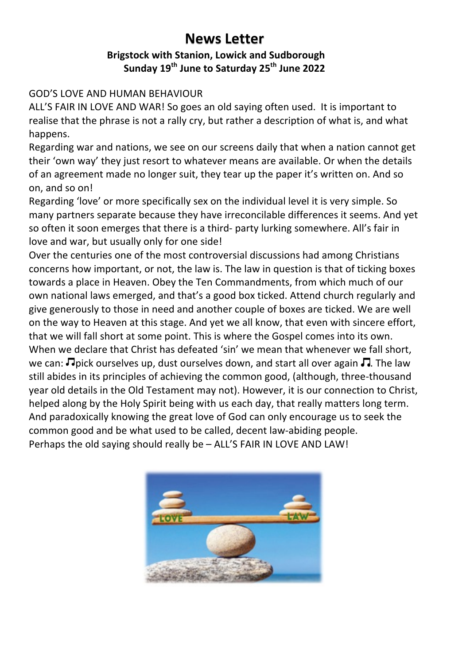# **News Letter**

## **Brigstock with Stanion, Lowick and Sudborough Sunday 19th June to Saturday 25th June 2022**

## **GOD'S LOVE AND HUMAN BEHAVIOUR**

ALL'S FAIR IN LOVE AND WAR! So goes an old saying often used. It is important to realise that the phrase is not a rally cry, but rather a description of what is, and what happens. 

Regarding war and nations, we see on our screens daily that when a nation cannot get their 'own way' they just resort to whatever means are available. Or when the details of an agreement made no longer suit, they tear up the paper it's written on. And so on, and so on!

Regarding 'love' or more specifically sex on the individual level it is very simple. So many partners separate because they have irreconcilable differences it seems. And yet so often it soon emerges that there is a third- party lurking somewhere. All's fair in love and war, but usually only for one side!

Over the centuries one of the most controversial discussions had among Christians concerns how important, or not, the law is. The law in question is that of ticking boxes towards a place in Heaven. Obey the Ten Commandments, from which much of our own national laws emerged, and that's a good box ticked. Attend church regularly and give generously to those in need and another couple of boxes are ticked. We are well on the way to Heaven at this stage. And yet we all know, that even with sincere effort, that we will fall short at some point. This is where the Gospel comes into its own. When we declare that Christ has defeated 'sin' we mean that whenever we fall short, we can:  $\Box$  pick ourselves up, dust ourselves down, and start all over again  $\Box$ . The law still abides in its principles of achieving the common good, (although, three-thousand year old details in the Old Testament may not). However, it is our connection to Christ, helped along by the Holy Spirit being with us each day, that really matters long term. And paradoxically knowing the great love of God can only encourage us to seek the common good and be what used to be called, decent law-abiding people. Perhaps the old saying should really be - ALL'S FAIR IN LOVE AND LAW!

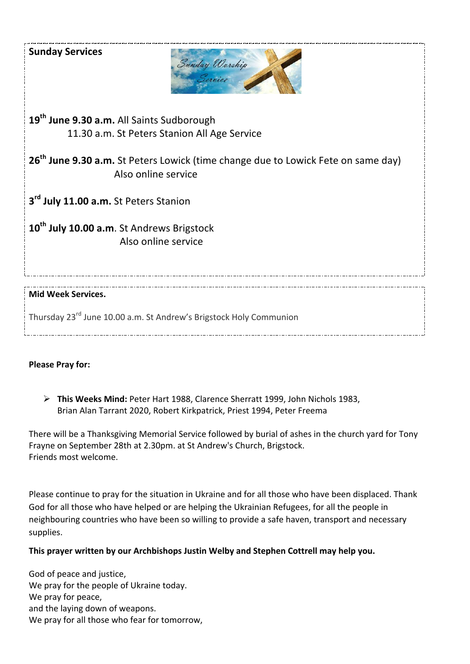### **Sunday Services**



19<sup>th</sup> June 9.30 a.m. All Saints Sudborough 11.30 a.m. St Peters Stanion All Age Service

26<sup>th</sup> June 9.30 a.m. St Peters Lowick (time change due to Lowick Fete on same day) Also online service

**3<sup>rd</sup> July 11.00 a.m.** St Peters Stanion

**10th July 10.00 a.m**. St Andrews Brigstock Also online service

#### **Mid Week Services.**

Thursdav 23<sup>rd</sup> June 10.00 a.m. St Andrew's Brigstock Holy Communion

#### **Please Pray for:**

> This Weeks Mind: Peter Hart 1988, Clarence Sherratt 1999, John Nichols 1983, Brian Alan Tarrant 2020, Robert Kirkpatrick, Priest 1994, Peter Freema

There will be a Thanksgiving Memorial Service followed by burial of ashes in the church yard for Tony Frayne on September 28th at 2.30pm. at St Andrew's Church, Brigstock. Friends most welcome.

Please continue to pray for the situation in Ukraine and for all those who have been displaced. Thank God for all those who have helped or are helping the Ukrainian Refugees, for all the people in neighbouring countries who have been so willing to provide a safe haven, transport and necessary supplies.

#### This prayer written by our Archbishops Justin Welby and Stephen Cottrell may help you.

God of peace and justice, We pray for the people of Ukraine today. We pray for peace, and the laying down of weapons. We pray for all those who fear for tomorrow,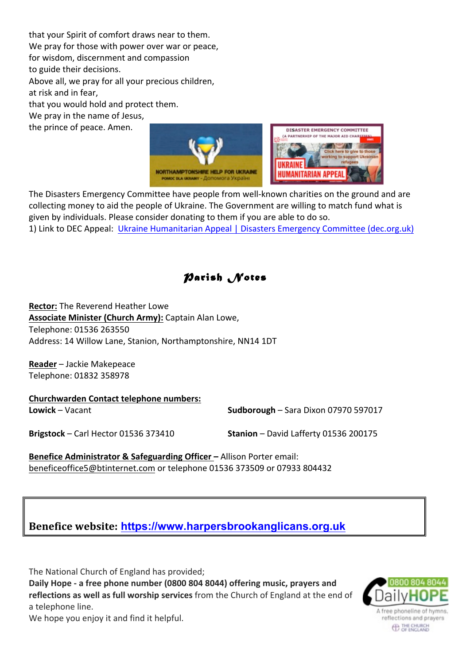that your Spirit of comfort draws near to them. We pray for those with power over war or peace, for wisdom, discernment and compassion to guide their decisions. Above all, we pray for all your precious children, at risk and in fear. that you would hold and protect them. We pray in the name of Jesus, the prince of peace. Amen.





The Disasters Emergency Committee have people from well-known charities on the ground and are collecting money to aid the people of Ukraine. The Government are willing to match fund what is given by individuals. Please consider donating to them if you are able to do so.

1) Link to DEC Appeal: Ukraine Humanitarian Appeal | Disasters Emergency Committee (dec.org.uk)

*Parish Notes* 

**Rector:** The Reverend Heather Lowe **Associate Minister (Church Army):** Captain Alan Lowe, Telephone: 01536 263550 Address: 14 Willow Lane, Stanion, Northamptonshire, NN14 1DT

**Reader** – Jackie Makepeace Telephone: 01832 358978

**Churchwarden Contact telephone numbers: Lowick** – Vacant **Sudborough** – Sara Dixon 07970 597017 **Brigstock** – Carl Hector 01536 373410 **Stanion** – David Lafferty 01536 200175

**Benefice Administrator & Safeguarding Officer – Allison Porter email:** beneficeoffice5@btinternet.com or telephone 01536 373509 or 07933 804432



The National Church of England has provided;

**Daily Hope - a free phone number (0800 804 8044) offering music, prayers and** reflections as well as full worship services from the Church of England at the end of a telephone line.



We hope you enjoy it and find it helpful.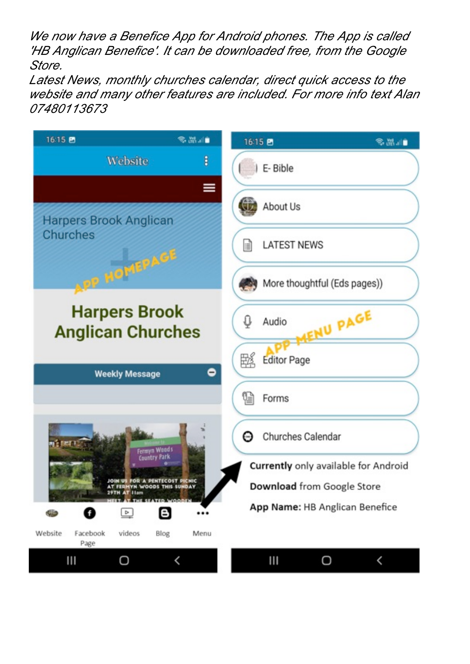*We now have a Benefice App for Android phones. The App is called 'HB Anglican Benefice'. It can be downloaded free, from the Google Store.*

*Latest News, monthly churches calendar, direct quick access to the website and many other features are included. For more info text Alan 07480113673*

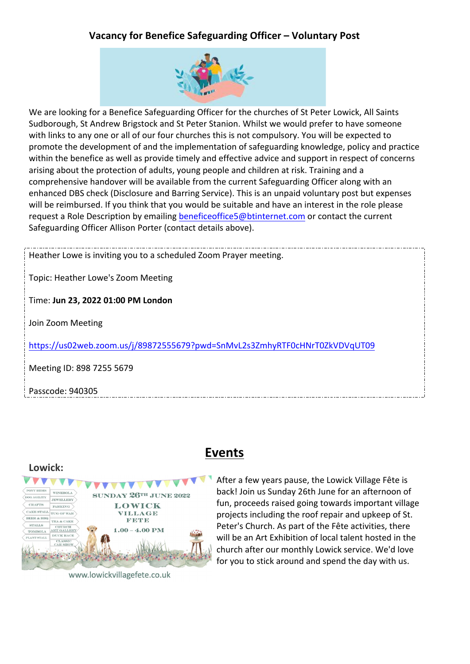## **Vacancy for Benefice Safeguarding Officer – Voluntary Post**



We are looking for a Benefice Safeguarding Officer for the churches of St Peter Lowick, All Saints Sudborough, St Andrew Brigstock and St Peter Stanion. Whilst we would prefer to have someone with links to any one or all of our four churches this is not compulsory. You will be expected to promote the development of and the implementation of safeguarding knowledge, policy and practice within the benefice as well as provide timely and effective advice and support in respect of concerns arising about the protection of adults, young people and children at risk. Training and a comprehensive handover will be available from the current Safeguarding Officer along with an enhanced DBS check (Disclosure and Barring Service). This is an unpaid voluntary post but expenses will be reimbursed. If you think that you would be suitable and have an interest in the role please request a Role Description by emailing beneficeoffice5@btinternet.com or contact the current Safeguarding Officer Allison Porter (contact details above).

Heather Lowe is inviting you to a scheduled Zoom Prayer meeting. Topic: Heather Lowe's Zoom Meeting Time: **Jun 23, 2022 01:00 PM London** Join Zoom Meeting https://us02web.zoom.us/j/89872555679?pwd=SnMvL2s3ZmhyRTF0cHNrT0ZkVDVqUT09 Meeting ID: 898 7255 5679 Passcode: 940305

#### **Lowick:**



www.lowickvillagefete.co.uk

## **Events**

After a few years pause, the Lowick Village Fête is back! Join us Sunday 26th June for an afternoon of fun, proceeds raised going towards important village projects including the roof repair and upkeep of St. Peter's Church. As part of the Fête activities, there will be an Art Exhibition of local talent hosted in the church after our monthly Lowick service. We'd love for you to stick around and spend the day with us.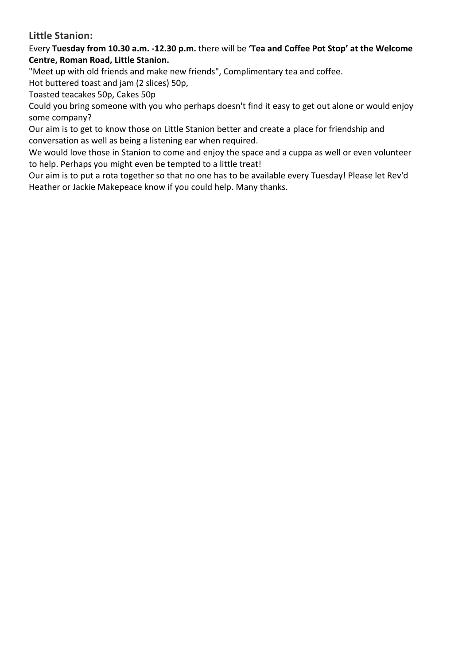## **Little Stanion:**

Every Tuesday from 10.30 a.m. -12.30 p.m. there will be 'Tea and Coffee Pot Stop' at the Welcome **Centre, Roman Road, Little Stanion.** 

"Meet up with old friends and make new friends", Complimentary tea and coffee.

Hot buttered toast and jam (2 slices) 50p,

Toasted teacakes 50p, Cakes 50p

Could you bring someone with you who perhaps doesn't find it easy to get out alone or would enjoy some company?

Our aim is to get to know those on Little Stanion better and create a place for friendship and conversation as well as being a listening ear when required.

We would love those in Stanion to come and enjoy the space and a cuppa as well or even volunteer to help. Perhaps you might even be tempted to a little treat!

Our aim is to put a rota together so that no one has to be available every Tuesday! Please let Rev'd Heather or Jackie Makepeace know if you could help. Many thanks.